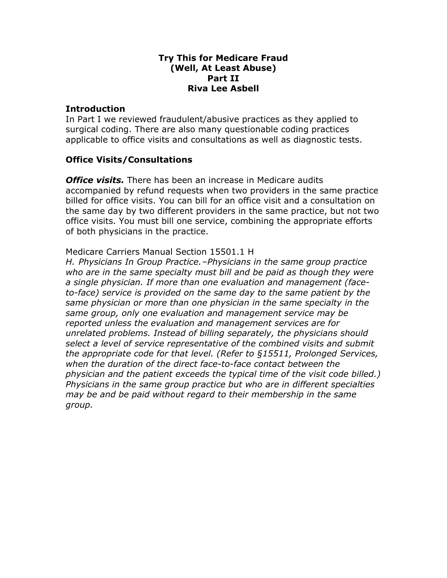#### Try This for Medicare Fraud (Well, At Least Abuse) Part II Riva Lee Asbell

#### **Introduction**

In Part I we reviewed fraudulent/abusive practices as they applied to surgical coding. There are also many questionable coding practices applicable to office visits and consultations as well as diagnostic tests.

### Office Visits/Consultations

**Office visits.** There has been an increase in Medicare audits accompanied by refund requests when two providers in the same practice billed for office visits. You can bill for an office visit and a consultation on the same day by two different providers in the same practice, but not two office visits. You must bill one service, combining the appropriate efforts of both physicians in the practice.

### Medicare Carriers Manual Section 15501.1 H

H. Physicians In Group Practice.–Physicians in the same group practice who are in the same specialty must bill and be paid as though they were a single physician. If more than one evaluation and management (faceto-face) service is provided on the same day to the same patient by the same physician or more than one physician in the same specialty in the same group, only one evaluation and management service may be reported unless the evaluation and management services are for unrelated problems. Instead of billing separately, the physicians should select a level of service representative of the combined visits and submit the appropriate code for that level. (Refer to §15511, Prolonged Services, when the duration of the direct face-to-face contact between the physician and the patient exceeds the typical time of the visit code billed.) Physicians in the same group practice but who are in different specialties may be and be paid without regard to their membership in the same group.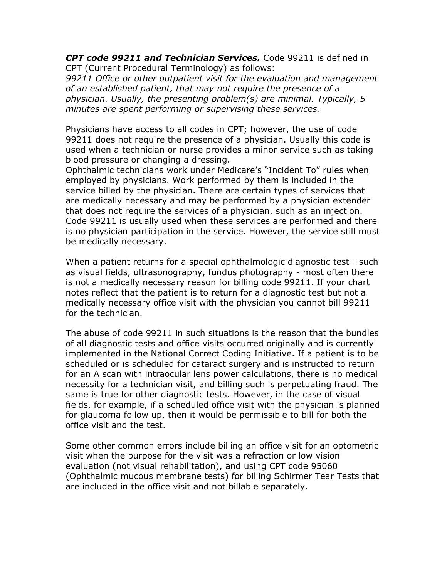CPT code 99211 and Technician Services. Code 99211 is defined in CPT (Current Procedural Terminology) as follows:

99211 Office or other outpatient visit for the evaluation and management of an established patient, that may not require the presence of a physician. Usually, the presenting problem(s) are minimal. Typically, 5 minutes are spent performing or supervising these services.

Physicians have access to all codes in CPT; however, the use of code 99211 does not require the presence of a physician. Usually this code is used when a technician or nurse provides a minor service such as taking blood pressure or changing a dressing.

Ophthalmic technicians work under Medicare's "Incident To" rules when employed by physicians. Work performed by them is included in the service billed by the physician. There are certain types of services that are medically necessary and may be performed by a physician extender that does not require the services of a physician, such as an injection. Code 99211 is usually used when these services are performed and there is no physician participation in the service. However, the service still must be medically necessary.

When a patient returns for a special ophthalmologic diagnostic test - such as visual fields, ultrasonography, fundus photography - most often there is not a medically necessary reason for billing code 99211. If your chart notes reflect that the patient is to return for a diagnostic test but not a medically necessary office visit with the physician you cannot bill 99211 for the technician.

The abuse of code 99211 in such situations is the reason that the bundles of all diagnostic tests and office visits occurred originally and is currently implemented in the National Correct Coding Initiative. If a patient is to be scheduled or is scheduled for cataract surgery and is instructed to return for an A scan with intraocular lens power calculations, there is no medical necessity for a technician visit, and billing such is perpetuating fraud. The same is true for other diagnostic tests. However, in the case of visual fields, for example, if a scheduled office visit with the physician is planned for glaucoma follow up, then it would be permissible to bill for both the office visit and the test.

Some other common errors include billing an office visit for an optometric visit when the purpose for the visit was a refraction or low vision evaluation (not visual rehabilitation), and using CPT code 95060 (Ophthalmic mucous membrane tests) for billing Schirmer Tear Tests that are included in the office visit and not billable separately.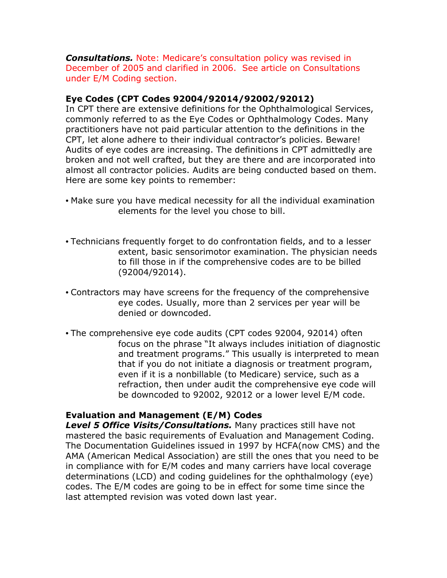**Consultations.** Note: Medicare's consultation policy was revised in December of 2005 and clarified in 2006. See article on Consultations under E/M Coding section.

# Eye Codes (CPT Codes 92004/92014/92002/92012)

In CPT there are extensive definitions for the Ophthalmological Services, commonly referred to as the Eye Codes or Ophthalmology Codes. Many practitioners have not paid particular attention to the definitions in the CPT, let alone adhere to their individual contractor's policies. Beware! Audits of eye codes are increasing. The definitions in CPT admittedly are broken and not well crafted, but they are there and are incorporated into almost all contractor policies. Audits are being conducted based on them. Here are some key points to remember:

- Make sure you have medical necessity for all the individual examination elements for the level you chose to bill.
- Technicians frequently forget to do confrontation fields, and to a lesser extent, basic sensorimotor examination. The physician needs to fill those in if the comprehensive codes are to be billed (92004/92014).
- Contractors may have screens for the frequency of the comprehensive eye codes. Usually, more than 2 services per year will be denied or downcoded.
- The comprehensive eye code audits (CPT codes 92004, 92014) often focus on the phrase "It always includes initiation of diagnostic and treatment programs." This usually is interpreted to mean that if you do not initiate a diagnosis or treatment program, even if it is a nonbillable (to Medicare) service, such as a refraction, then under audit the comprehensive eye code will be downcoded to 92002, 92012 or a lower level E/M code.

# Evaluation and Management (E/M) Codes

Level 5 Office Visits/Consultations. Many practices still have not mastered the basic requirements of Evaluation and Management Coding. The Documentation Guidelines issued in 1997 by HCFA(now CMS) and the AMA (American Medical Association) are still the ones that you need to be in compliance with for E/M codes and many carriers have local coverage determinations (LCD) and coding guidelines for the ophthalmology (eye) codes. The E/M codes are going to be in effect for some time since the last attempted revision was voted down last year.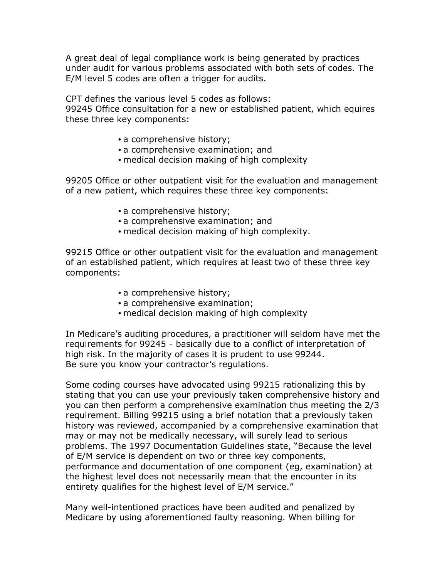A great deal of legal compliance work is being generated by practices under audit for various problems associated with both sets of codes. The E/M level 5 codes are often a trigger for audits.

CPT defines the various level 5 codes as follows:

99245 Office consultation for a new or established patient, which equires these three key components:

- a comprehensive history;
- a comprehensive examination; and
- medical decision making of high complexity

99205 Office or other outpatient visit for the evaluation and management of a new patient, which requires these three key components:

- a comprehensive history;
- a comprehensive examination; and
- medical decision making of high complexity.

99215 Office or other outpatient visit for the evaluation and management of an established patient, which requires at least two of these three key components:

- a comprehensive history;
- a comprehensive examination;
- medical decision making of high complexity

In Medicare's auditing procedures, a practitioner will seldom have met the requirements for 99245 - basically due to a conflict of interpretation of high risk. In the majority of cases it is prudent to use 99244. Be sure you know your contractor's regulations.

Some coding courses have advocated using 99215 rationalizing this by stating that you can use your previously taken comprehensive history and you can then perform a comprehensive examination thus meeting the 2/3 requirement. Billing 99215 using a brief notation that a previously taken history was reviewed, accompanied by a comprehensive examination that may or may not be medically necessary, will surely lead to serious problems. The 1997 Documentation Guidelines state, "Because the level of E/M service is dependent on two or three key components, performance and documentation of one component (eg, examination) at the highest level does not necessarily mean that the encounter in its entirety qualifies for the highest level of E/M service."

Many well-intentioned practices have been audited and penalized by Medicare by using aforementioned faulty reasoning. When billing for